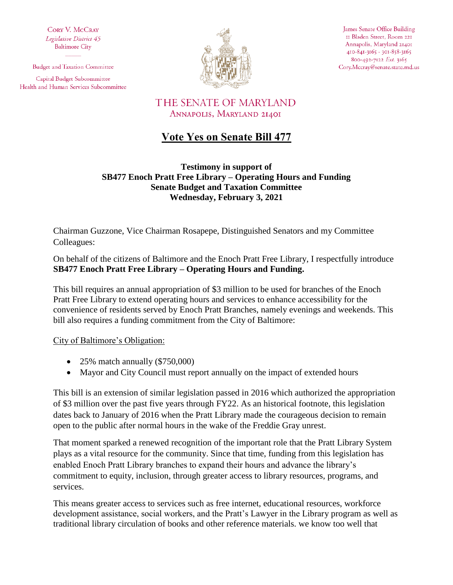**CORY V. MCCRAY** Legislative District 45 **Baltimore City** 

**Budget and Taxation Committee** 

Capital Budget Subcommittee Health and Human Services Subcommittee



James Senate Office Building II Bladen Street, Room 221 Annapolis, Maryland 21401 410-841-3165 · 301-858-3165 800-492-7122 Ext. 3165 Cory.Mccray@senate.state.md.us

## THE SENATE OF MARYLAND ANNAPOLIS, MARYLAND 21401

## **Vote Yes on Senate Bill 477**

**Testimony in support of SB477 Enoch Pratt Free Library – Operating Hours and Funding Senate Budget and Taxation Committee Wednesday, February 3, 2021**

Chairman Guzzone, Vice Chairman Rosapepe, Distinguished Senators and my Committee Colleagues:

On behalf of the citizens of Baltimore and the Enoch Pratt Free Library, I respectfully introduce **SB477 Enoch Pratt Free Library – Operating Hours and Funding.** 

This bill requires an annual appropriation of \$3 million to be used for branches of the Enoch Pratt Free Library to extend operating hours and services to enhance accessibility for the convenience of residents served by Enoch Pratt Branches, namely evenings and weekends. This bill also requires a funding commitment from the City of Baltimore:

City of Baltimore's Obligation:

- $\bullet$  25% match annually (\$750,000)
- Mayor and City Council must report annually on the impact of extended hours

This bill is an extension of similar legislation passed in 2016 which authorized the appropriation of \$3 million over the past five years through FY22. As an historical footnote, this legislation dates back to January of 2016 when the Pratt Library made the courageous decision to remain open to the public after normal hours in the wake of the Freddie Gray unrest.

That moment sparked a renewed recognition of the important role that the Pratt Library System plays as a vital resource for the community. Since that time, funding from this legislation has enabled Enoch Pratt Library branches to expand their hours and advance the library's commitment to equity, inclusion, through greater access to library resources, programs, and services.

This means greater access to services such as free internet, educational resources, workforce development assistance, social workers, and the Pratt's Lawyer in the Library program as well as traditional library circulation of books and other reference materials. we know too well that